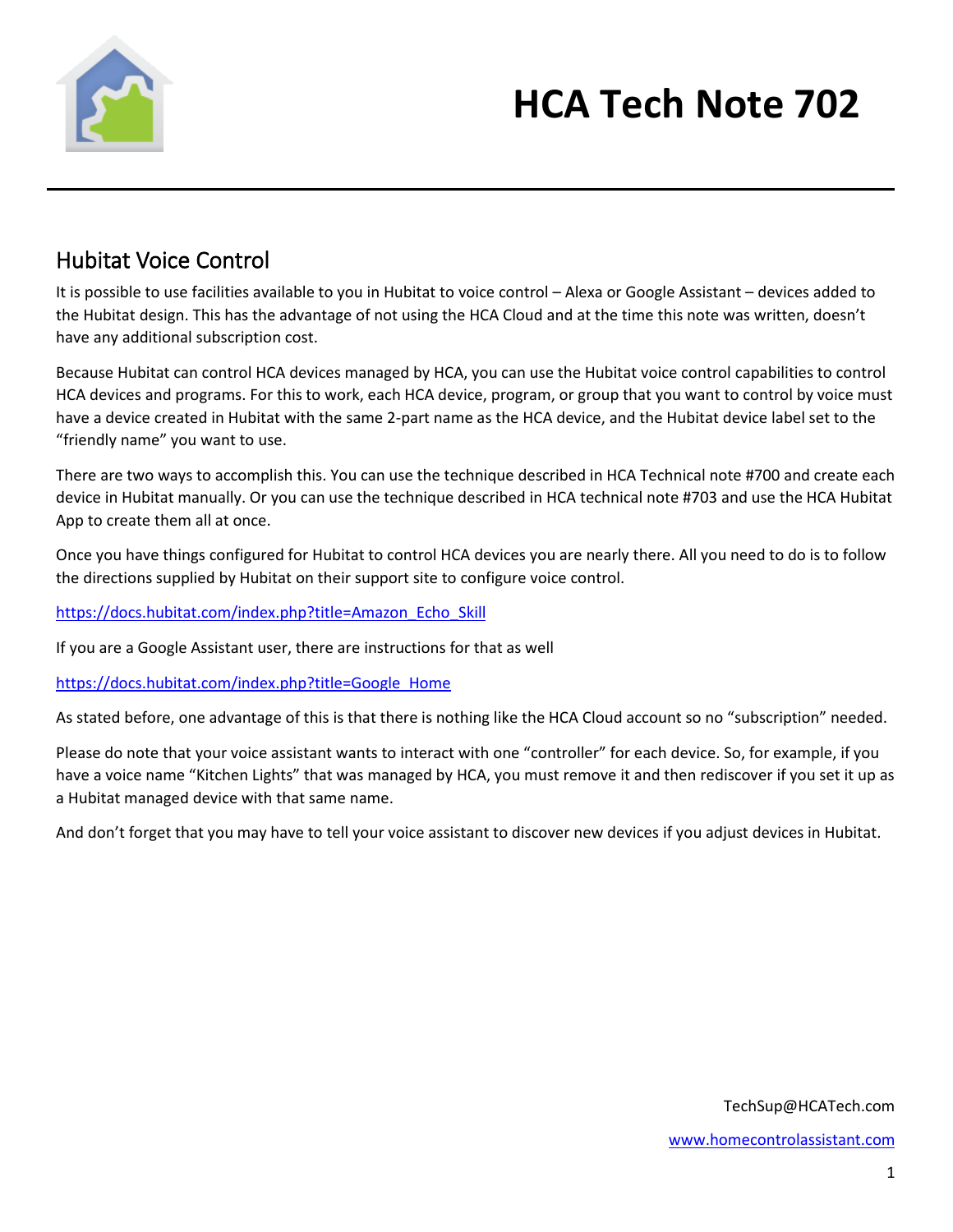

# **HCA Tech Note 702**

#### Hubitat Voice Control

It is possible to use facilities available to you in Hubitat to voice control – Alexa or Google Assistant – devices added to the Hubitat design. This has the advantage of not using the HCA Cloud and at the time this note was written, doesn't have any additional subscription cost.

Because Hubitat can control HCA devices managed by HCA, you can use the Hubitat voice control capabilities to control HCA devices and programs. For this to work, each HCA device, program, or group that you want to control by voice must have a device created in Hubitat with the same 2-part name as the HCA device, and the Hubitat device label set to the "friendly name" you want to use.

There are two ways to accomplish this. You can use the technique described in HCA Technical note #700 and create each device in Hubitat manually. Or you can use the technique described in HCA technical note #703 and use the HCA Hubitat App to create them all at once.

Once you have things configured for Hubitat to control HCA devices you are nearly there. All you need to do is to follow the directions supplied by Hubitat on their support site to configure voice control.

[https://docs.hubitat.com/index.php?title=Amazon\\_Echo\\_Skill](https://docs.hubitat.com/index.php?title=Amazon_Echo_Skill)

If you are a Google Assistant user, there are instructions for that as well

[https://docs.hubitat.com/index.php?title=Google\\_Home](https://docs.hubitat.com/index.php?title=Google_Home)

As stated before, one advantage of this is that there is nothing like the HCA Cloud account so no "subscription" needed.

Please do note that your voice assistant wants to interact with one "controller" for each device. So, for example, if you have a voice name "Kitchen Lights" that was managed by HCA, you must remove it and then rediscover if you set it up as a Hubitat managed device with that same name.

And don't forget that you may have to tell your voice assistant to discover new devices if you adjust devices in Hubitat.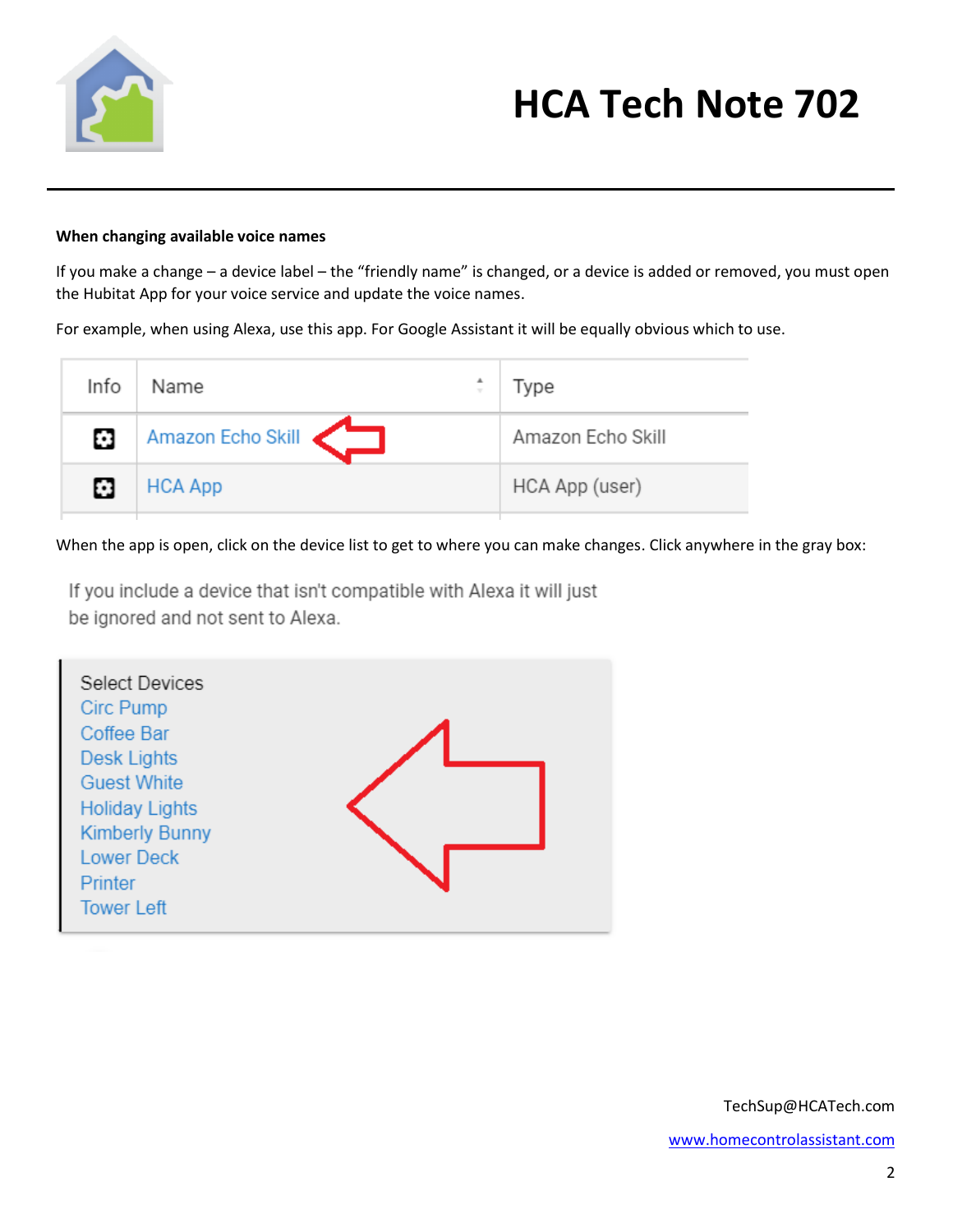

# **HCA Tech Note 702**

#### **When changing available voice names**

If you make a change – a device label – the "friendly name" is changed, or a device is added or removed, you must open the Hubitat App for your voice service and update the voice names.

For example, when using Alexa, use this app. For Google Assistant it will be equally obvious which to use.

| Info | ▲<br>Name         | Type              |
|------|-------------------|-------------------|
| O    | Amazon Echo Skill | Amazon Echo Skill |
| Ø    | <b>HCA App</b>    | HCA App (user)    |

When the app is open, click on the device list to get to where you can make changes. Click anywhere in the gray box:

If you include a device that isn't compatible with Alexa it will just be ignored and not sent to Alexa.